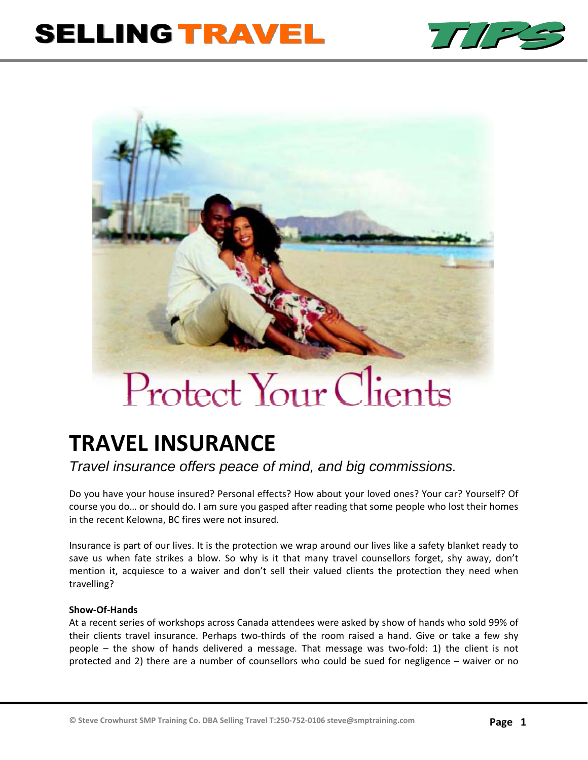# **SELLING TRAVEL**





# **TRAVEL INSURANCE**

# *Travel insurance offers peace of mind, and big commissions.*

Do you have your house insured? Personal effects? How about your loved ones? Your car? Yourself? Of course you do… or should do. I am sure you gasped after reading that some people who lost their homes in the recent Kelowna, BC fires were not insured.

Insurance is part of our lives. It is the protection we wrap around our lives like a safety blanket ready to save us when fate strikes a blow. So why is it that many travel counsellors forget, shy away, don't mention it, acquiesce to a waiver and don't sell their valued clients the protection they need when travelling?

# **Show‐Of‐Hands**

At a recent series of workshops across Canada attendees were asked by show of hands who sold 99% of their clients travel insurance. Perhaps two‐thirds of the room raised a hand. Give or take a few shy people – the show of hands delivered a message. That message was two‐fold: 1) the client is not protected and 2) there are a number of counsellors who could be sued for negligence – waiver or no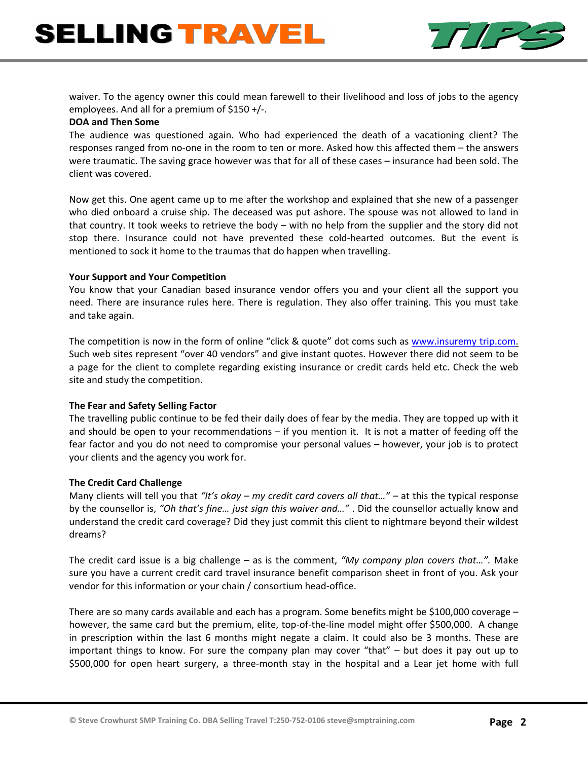

waiver. To the agency owner this could mean farewell to their livelihood and loss of jobs to the agency employees. And all for a premium of \$150 +/‐.

#### **DOA and Then Some**

The audience was questioned again. Who had experienced the death of a vacationing client? The responses ranged from no-one in the room to ten or more. Asked how this affected them – the answers were traumatic. The saving grace however was that for all of these cases – insurance had been sold. The client was covered.

Now get this. One agent came up to me after the workshop and explained that she new of a passenger who died onboard a cruise ship. The deceased was put ashore. The spouse was not allowed to land in that country. It took weeks to retrieve the body – with no help from the supplier and the story did not stop there. Insurance could not have prevented these cold‐hearted outcomes. But the event is mentioned to sock it home to the traumas that do happen when travelling.

# **Your Support and Your Competition**

You know that your Canadian based insurance vendor offers you and your client all the support you need. There are insurance rules here. There is regulation. They also offer training. This you must take and take again.

The competition is now in the form of online "click & quote" dot coms such as www.insuremy trip.com. Such web sites represent "over 40 vendors" and give instant quotes. However there did not seem to be a page for the client to complete regarding existing insurance or credit cards held etc. Check the web site and study the competition.

# **The Fear and Safety Selling Factor**

The travelling public continue to be fed their daily does of fear by the media. They are topped up with it and should be open to your recommendations – if you mention it. It is not a matter of feeding off the fear factor and you do not need to compromise your personal values – however, your job is to protect your clients and the agency you work for.

# **The Credit Card Challenge**

Many clients will tell you that *"It's okay – my credit card covers all that…"* – at this the typical response by the counsellor is, *"Oh that's fine… just sign this waiver and…"* . Did the counsellor actually know and understand the credit card coverage? Did they just commit this client to nightmare beyond their wildest dreams?

The credit card issue is a big challenge – as is the comment, *"My company plan covers that…".* Make sure you have a current credit card travel insurance benefit comparison sheet in front of you. Ask your vendor for this information or your chain / consortium head‐office.

There are so many cards available and each has a program. Some benefits might be \$100,000 coverage – however, the same card but the premium, elite, top-of-the-line model might offer \$500,000. A change in prescription within the last 6 months might negate a claim. It could also be 3 months. These are important things to know. For sure the company plan may cover "that" – but does it pay out up to \$500,000 for open heart surgery, a three‐month stay in the hospital and a Lear jet home with full